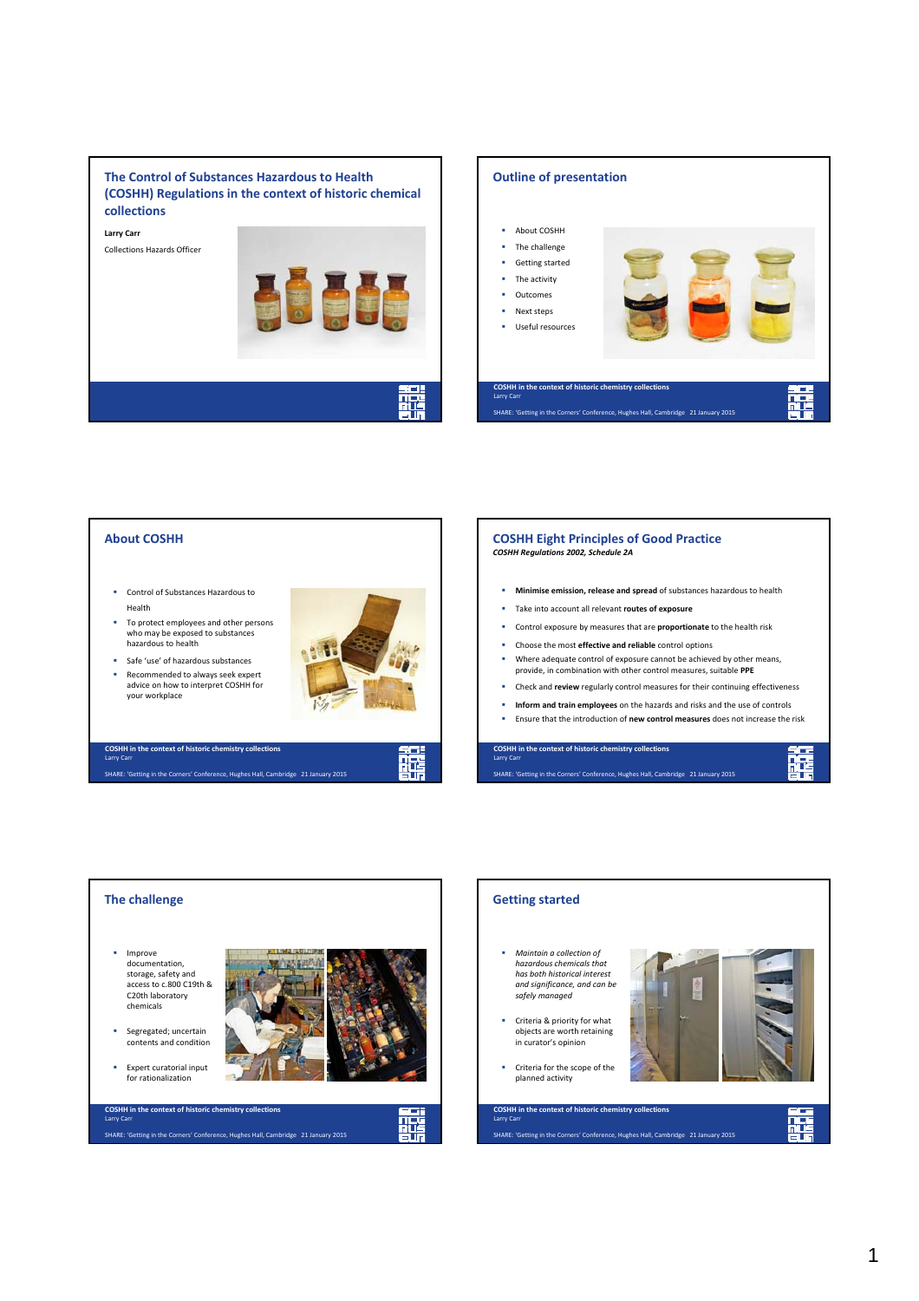#### **The Control of Substances Hazardous to Health (COSHH) Regulations in the context of historic chemical collections**

**Larry Carr** Collections Hazards Officer





#### **About COSHH COSHH Eight Principles of Good Practice** *COSHH Regulations 2002, Schedule 2A* **Minimise emission, release and spread** of substances hazardous to health **Control of Substances Hazardous to** Health Take into account all relevant **routes of exposure** To protect employees and other persons Control exposure by measures that are **proportionate** to the health risk who may be exposed to substances hazardous to health Choose the most **effective and reliable** control options Where adequate control of exposure cannot be achieved by other means, Safe 'use' of hazardous substances provide, in combination with other control measures, suitable **PPE** Recommended to always seek expert advice on how to interpret COSHH for Check and **review** regularly control measures for their continuing effectiveness your workplace **Inform and train employees** on the hazards and risks and the use of controls Ensure that the introduction of **new control measures** does not increase the risk **COSHH in the context of historic chemistry collections COSHH in the context of historic chemistry collections** 麉 蘼 Larry Carr Larry Carr SHARE: 'Getting in the Corners' Conference, Hughes Hall, Cambridge 21 January 2015 SHARE: 'Getting in the Corners' Conference, Hughes Hall, Cambridge 21 January 2015



## **Getting started** *Maintain a collection of hazardous chemicals that has both historical interest and significance, and can be safely managed* Criteria & priority for what objects are worth retaining in curator's opinion **Criteria for the scope of the** planned activity**COSHH in the context of historic chemistry collections** 廤 Larry Carr SHARE: 'Getting in the Corners' Conference, Hughes Hall, Cambridge 21 January 2015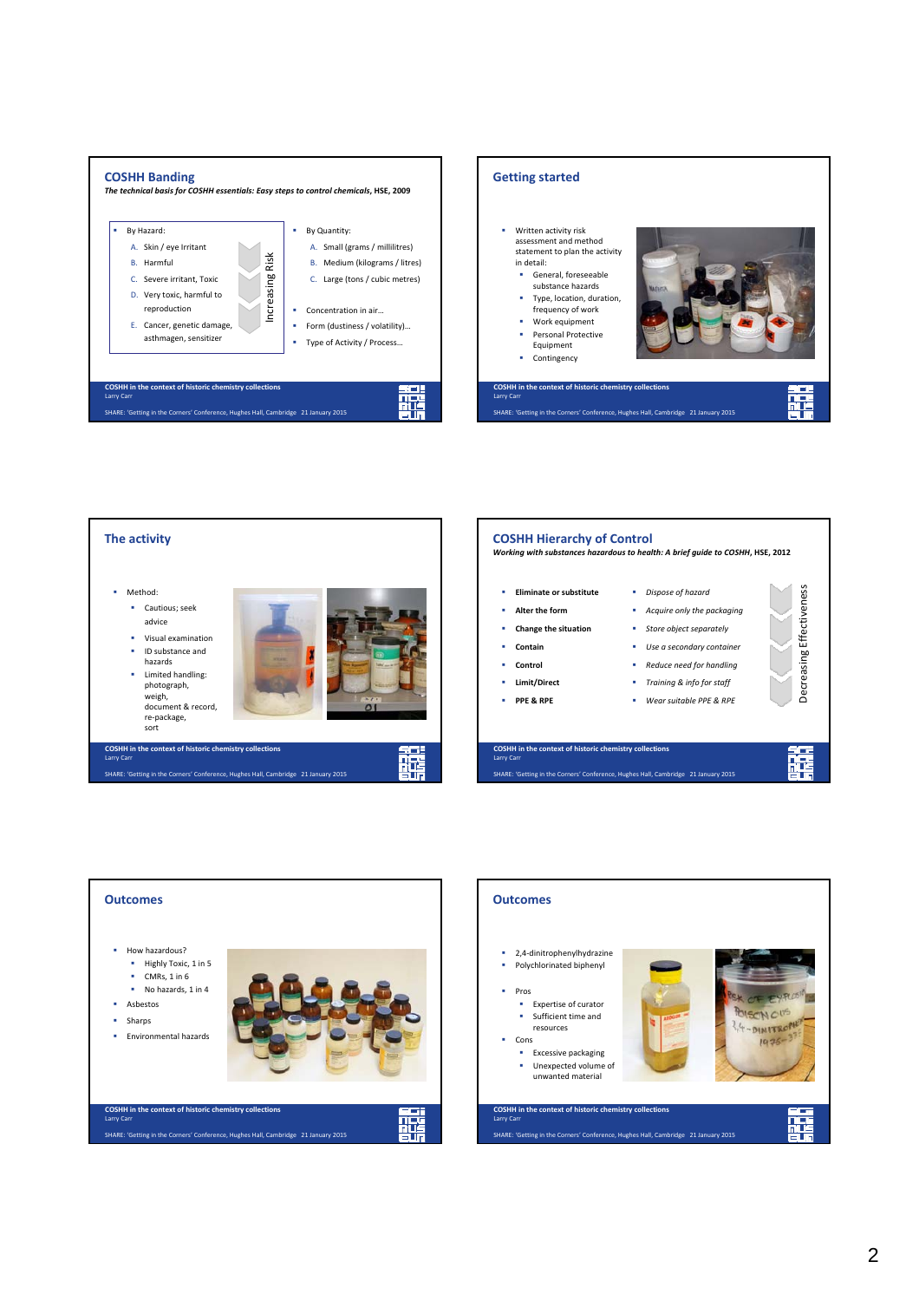









Decreasing Effectiveness

Decreasing Effectiveness

麗